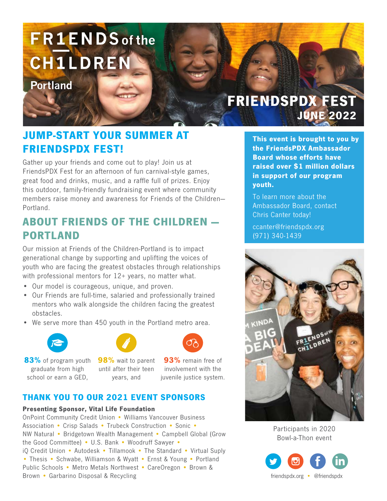# **FR1ENDS** of the **CH1LDREN**

**Portland** 

## FRIENDSPDX FEST JUNE 2022

## JUMP-START YOUR SUMMER AT FRIENDSPDX FEST!

Gather up your friends and come out to play! Join us at FriendsPDX Fest for an afternoon of fun carnival-style games, great food and drinks, music, and a raffle full of prizes. Enjoy this outdoor, family-friendly fundraising event where community members raise money and awareness for Friends of the Children— Portland.

### ABOUT FRIENDS OF THE CHILDREN — PORTLAND

Our mission at Friends of the Children-Portland is to impact generational change by supporting and uplifting the voices of youth who are facing the greatest obstacles through relationships with professional mentors for 12+ years, no matter what.

- Our model is courageous, unique, and proven.
- Our Friends are full-time, salaried and professionally trained mentors who walk alongside the children facing the greatest obstacles.
- We serve more than 450 youth in the Portland metro area.



83% of program youth graduate from high school or earn a GED,





98% wait to parent until after their teen years, and

93% remain free of involvement with the juvenile justice system.

#### THANK YOU TO OUR 2021 EVENT SPONSORS

#### Presenting Sponsor, Vital Life Foundation

OnPoint Community Credit Union • Williams Vancouver Business Association • Crisp Salads • Trubeck Construction • Sonic • NW Natural • Bridgetown Wealth Management • Campbell Global (Grow the Good Committee) • U.S. Bank • Woodruff Sawyer • iQ Credit Union • Autodesk • Tillamook • The Standard • Virtual Suply • Thesis • Schwabe, Williamson & Wyatt • Ernst & Young • Portland Public Schools • Metro Metals Northwest • CareOregon • Brown & Brown • Garbarino Disposal & Recycling

This event is brought to you by the FriendsPDX Ambassador Board whose efforts have raised over \$1 million dollars in support of our program youth.

To learn more about the Ambassador Board, contact Chris Canter today!

ccanter@friendspdx.org (971) 340-1439



Participants in 2020 Bowl-a-Thon event